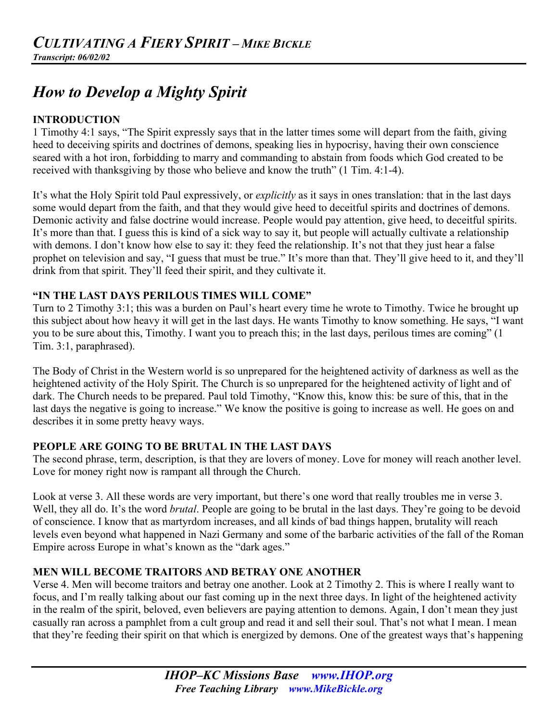# *How to Develop a Mighty Spirit*

#### **INTRODUCTION**

1 Timothy 4:1 says, "The Spirit expressly says that in the latter times some will depart from the faith, giving heed to deceiving spirits and doctrines of demons, speaking lies in hypocrisy, having their own conscience seared with a hot iron, forbidding to marry and commanding to abstain from foods which God created to be received with thanksgiving by those who believe and know the truth" (1 Tim. 4:1-4).

It's what the Holy Spirit told Paul expressively, or *explicitly* as it says in ones translation: that in the last days some would depart from the faith, and that they would give heed to deceitful spirits and doctrines of demons. Demonic activity and false doctrine would increase. People would pay attention, give heed, to deceitful spirits. It's more than that. I guess this is kind of a sick way to say it, but people will actually cultivate a relationship with demons. I don't know how else to say it: they feed the relationship. It's not that they just hear a false prophet on television and say, "I guess that must be true." It's more than that. They'll give heed to it, and they'll drink from that spirit. They'll feed their spirit, and they cultivate it.

## **"IN THE LAST DAYS PERILOUS TIMES WILL COME"**

Turn to 2 Timothy 3:1; this was a burden on Paul's heart every time he wrote to Timothy. Twice he brought up this subject about how heavy it will get in the last days. He wants Timothy to know something. He says, "I want you to be sure about this, Timothy. I want you to preach this; in the last days, perilous times are coming" (1 Tim. 3:1, paraphrased).

The Body of Christ in the Western world is so unprepared for the heightened activity of darkness as well as the heightened activity of the Holy Spirit. The Church is so unprepared for the heightened activity of light and of dark. The Church needs to be prepared. Paul told Timothy, "Know this, know this: be sure of this, that in the last days the negative is going to increase." We know the positive is going to increase as well. He goes on and describes it in some pretty heavy ways.

#### **PEOPLE ARE GOING TO BE BRUTAL IN THE LAST DAYS**

The second phrase, term, description, is that they are lovers of money. Love for money will reach another level. Love for money right now is rampant all through the Church.

Look at verse 3. All these words are very important, but there's one word that really troubles me in verse 3. Well, they all do. It's the word *brutal*. People are going to be brutal in the last days. They're going to be devoid of conscience. I know that as martyrdom increases, and all kinds of bad things happen, brutality will reach levels even beyond what happened in Nazi Germany and some of the barbaric activities of the fall of the Roman Empire across Europe in what's known as the "dark ages."

#### **MEN WILL BECOME TRAITORS AND BETRAY ONE ANOTHER**

Verse 4. Men will become traitors and betray one another. Look at 2 Timothy 2. This is where I really want to focus, and I'm really talking about our fast coming up in the next three days. In light of the heightened activity in the realm of the spirit, beloved, even believers are paying attention to demons. Again, I don't mean they just casually ran across a pamphlet from a cult group and read it and sell their soul. That's not what I mean. I mean that they're feeding their spirit on that which is energized by demons. One of the greatest ways that's happening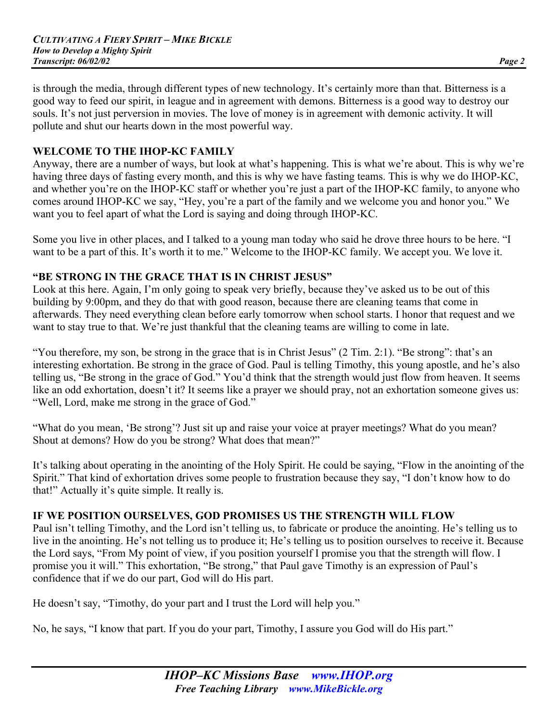is through the media, through different types of new technology. It's certainly more than that. Bitterness is a good way to feed our spirit, in league and in agreement with demons. Bitterness is a good way to destroy our souls. It's not just perversion in movies. The love of money is in agreement with demonic activity. It will pollute and shut our hearts down in the most powerful way.

#### **WELCOME TO THE IHOP-KC FAMILY**

Anyway, there are a number of ways, but look at what's happening. This is what we're about. This is why we're having three days of fasting every month, and this is why we have fasting teams. This is why we do IHOP-KC, and whether you're on the IHOP-KC staff or whether you're just a part of the IHOP-KC family, to anyone who comes around IHOP-KC we say, "Hey, you're a part of the family and we welcome you and honor you." We want you to feel apart of what the Lord is saying and doing through IHOP-KC.

Some you live in other places, and I talked to a young man today who said he drove three hours to be here. "I want to be a part of this. It's worth it to me." Welcome to the IHOP-KC family. We accept you. We love it.

#### **"BE STRONG IN THE GRACE THAT IS IN CHRIST JESUS"**

Look at this here. Again, I'm only going to speak very briefly, because they've asked us to be out of this building by 9:00pm, and they do that with good reason, because there are cleaning teams that come in afterwards. They need everything clean before early tomorrow when school starts. I honor that request and we want to stay true to that. We're just thankful that the cleaning teams are willing to come in late.

"You therefore, my son, be strong in the grace that is in Christ Jesus" (2 Tim. 2:1). "Be strong": that's an interesting exhortation. Be strong in the grace of God. Paul is telling Timothy, this young apostle, and he's also telling us, "Be strong in the grace of God." You'd think that the strength would just flow from heaven. It seems like an odd exhortation, doesn't it? It seems like a prayer we should pray, not an exhortation someone gives us: "Well, Lord, make me strong in the grace of God."

"What do you mean, 'Be strong'? Just sit up and raise your voice at prayer meetings? What do you mean? Shout at demons? How do you be strong? What does that mean?"

It's talking about operating in the anointing of the Holy Spirit. He could be saying, "Flow in the anointing of the Spirit." That kind of exhortation drives some people to frustration because they say, "I don't know how to do that!" Actually it's quite simple. It really is.

#### **IF WE POSITION OURSELVES, GOD PROMISES US THE STRENGTH WILL FLOW**

Paul isn't telling Timothy, and the Lord isn't telling us, to fabricate or produce the anointing. He's telling us to live in the anointing. He's not telling us to produce it; He's telling us to position ourselves to receive it. Because the Lord says, "From My point of view, if you position yourself I promise you that the strength will flow. I promise you it will." This exhortation, "Be strong," that Paul gave Timothy is an expression of Paul's confidence that if we do our part, God will do His part.

He doesn't say, "Timothy, do your part and I trust the Lord will help you."

No, he says, "I know that part. If you do your part, Timothy, I assure you God will do His part."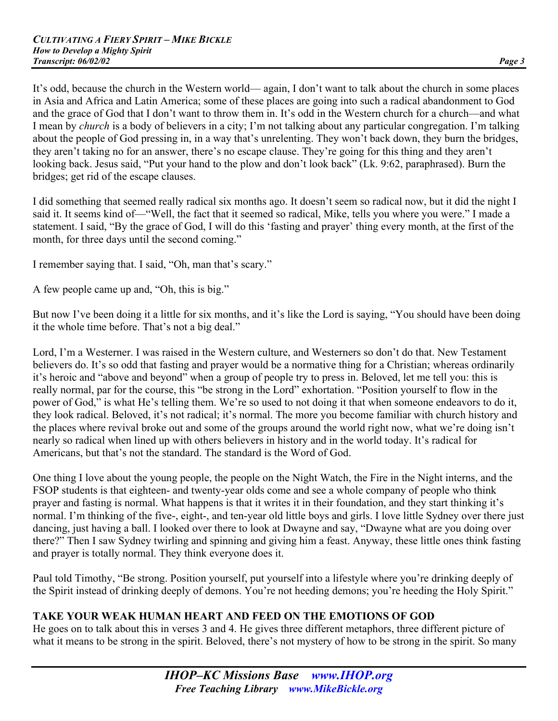It's odd, because the church in the Western world— again, I don't want to talk about the church in some places in Asia and Africa and Latin America; some of these places are going into such a radical abandonment to God and the grace of God that I don't want to throw them in. It's odd in the Western church for a church—and what I mean by *church* is a body of believers in a city; I'm not talking about any particular congregation. I'm talking about the people of God pressing in, in a way that's unrelenting. They won't back down, they burn the bridges, they aren't taking no for an answer, there's no escape clause. They're going for this thing and they aren't looking back. Jesus said, "Put your hand to the plow and don't look back" (Lk. 9:62, paraphrased). Burn the bridges; get rid of the escape clauses.

I did something that seemed really radical six months ago. It doesn't seem so radical now, but it did the night I said it. It seems kind of—"Well, the fact that it seemed so radical, Mike, tells you where you were." I made a statement. I said, "By the grace of God, I will do this 'fasting and prayer' thing every month, at the first of the month, for three days until the second coming."

I remember saying that. I said, "Oh, man that's scary."

A few people came up and, "Oh, this is big."

But now I've been doing it a little for six months, and it's like the Lord is saying, "You should have been doing it the whole time before. That's not a big deal."

Lord, I'm a Westerner. I was raised in the Western culture, and Westerners so don't do that. New Testament believers do. It's so odd that fasting and prayer would be a normative thing for a Christian; whereas ordinarily it's heroic and "above and beyond" when a group of people try to press in. Beloved, let me tell you: this is really normal, par for the course, this "be strong in the Lord" exhortation. "Position yourself to flow in the power of God," is what He's telling them. We're so used to not doing it that when someone endeavors to do it, they look radical. Beloved, it's not radical; it's normal. The more you become familiar with church history and the places where revival broke out and some of the groups around the world right now, what we're doing isn't nearly so radical when lined up with others believers in history and in the world today. It's radical for Americans, but that's not the standard. The standard is the Word of God.

One thing I love about the young people, the people on the Night Watch, the Fire in the Night interns, and the FSOP students is that eighteen- and twenty-year olds come and see a whole company of people who think prayer and fasting is normal. What happens is that it writes it in their foundation, and they start thinking it's normal. I'm thinking of the five-, eight-, and ten-year old little boys and girls. I love little Sydney over there just dancing, just having a ball. I looked over there to look at Dwayne and say, "Dwayne what are you doing over there?" Then I saw Sydney twirling and spinning and giving him a feast. Anyway, these little ones think fasting and prayer is totally normal. They think everyone does it.

Paul told Timothy, "Be strong. Position yourself, put yourself into a lifestyle where you're drinking deeply of the Spirit instead of drinking deeply of demons. You're not heeding demons; you're heeding the Holy Spirit."

## **TAKE YOUR WEAK HUMAN HEART AND FEED ON THE EMOTIONS OF GOD**

He goes on to talk about this in verses 3 and 4. He gives three different metaphors, three different picture of what it means to be strong in the spirit. Beloved, there's not mystery of how to be strong in the spirit. So many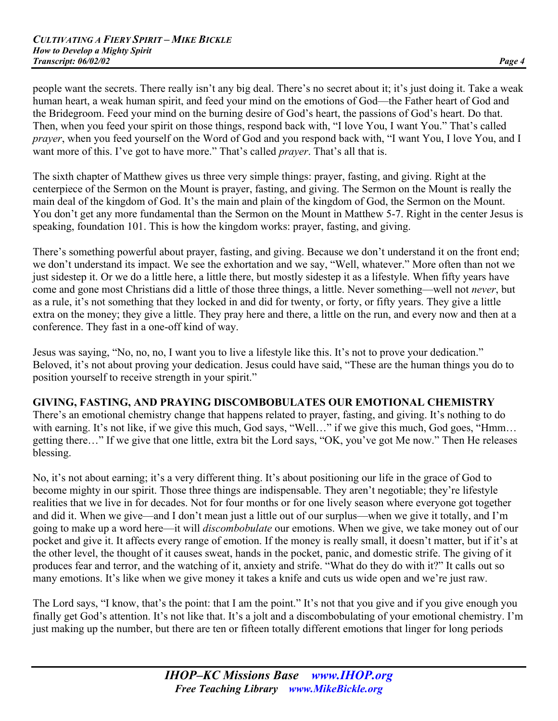people want the secrets. There really isn't any big deal. There's no secret about it; it's just doing it. Take a weak human heart, a weak human spirit, and feed your mind on the emotions of God—the Father heart of God and the Bridegroom. Feed your mind on the burning desire of God's heart, the passions of God's heart. Do that. Then, when you feed your spirit on those things, respond back with, "I love You, I want You." That's called *prayer*, when you feed yourself on the Word of God and you respond back with, "I want You, I love You, and I want more of this. I've got to have more." That's called *prayer*. That's all that is.

The sixth chapter of Matthew gives us three very simple things: prayer, fasting, and giving. Right at the centerpiece of the Sermon on the Mount is prayer, fasting, and giving. The Sermon on the Mount is really the main deal of the kingdom of God. It's the main and plain of the kingdom of God, the Sermon on the Mount. You don't get any more fundamental than the Sermon on the Mount in Matthew 5-7. Right in the center Jesus is speaking, foundation 101. This is how the kingdom works: prayer, fasting, and giving.

There's something powerful about prayer, fasting, and giving. Because we don't understand it on the front end; we don't understand its impact. We see the exhortation and we say, "Well, whatever." More often than not we just sidestep it. Or we do a little here, a little there, but mostly sidestep it as a lifestyle. When fifty years have come and gone most Christians did a little of those three things, a little. Never something—well not *never*, but as a rule, it's not something that they locked in and did for twenty, or forty, or fifty years. They give a little extra on the money; they give a little. They pray here and there, a little on the run, and every now and then at a conference. They fast in a one-off kind of way.

Jesus was saying, "No, no, no, I want you to live a lifestyle like this. It's not to prove your dedication." Beloved, it's not about proving your dedication. Jesus could have said, "These are the human things you do to position yourself to receive strength in your spirit."

## **GIVING, FASTING, AND PRAYING DISCOMBOBULATES OUR EMOTIONAL CHEMISTRY**

There's an emotional chemistry change that happens related to prayer, fasting, and giving. It's nothing to do with earning. It's not like, if we give this much, God says, "Well..." if we give this much, God goes, "Hmm... getting there…" If we give that one little, extra bit the Lord says, "OK, you've got Me now." Then He releases blessing.

No, it's not about earning; it's a very different thing. It's about positioning our life in the grace of God to become mighty in our spirit. Those three things are indispensable. They aren't negotiable; they're lifestyle realities that we live in for decades. Not for four months or for one lively season where everyone got together and did it. When we give—and I don't mean just a little out of our surplus—when we give it totally, and I'm going to make up a word here—it will *discombobulate* our emotions. When we give, we take money out of our pocket and give it. It affects every range of emotion. If the money is really small, it doesn't matter, but if it's at the other level, the thought of it causes sweat, hands in the pocket, panic, and domestic strife. The giving of it produces fear and terror, and the watching of it, anxiety and strife. "What do they do with it?" It calls out so many emotions. It's like when we give money it takes a knife and cuts us wide open and we're just raw.

The Lord says, "I know, that's the point: that I am the point." It's not that you give and if you give enough you finally get God's attention. It's not like that. It's a jolt and a discombobulating of your emotional chemistry. I'm just making up the number, but there are ten or fifteen totally different emotions that linger for long periods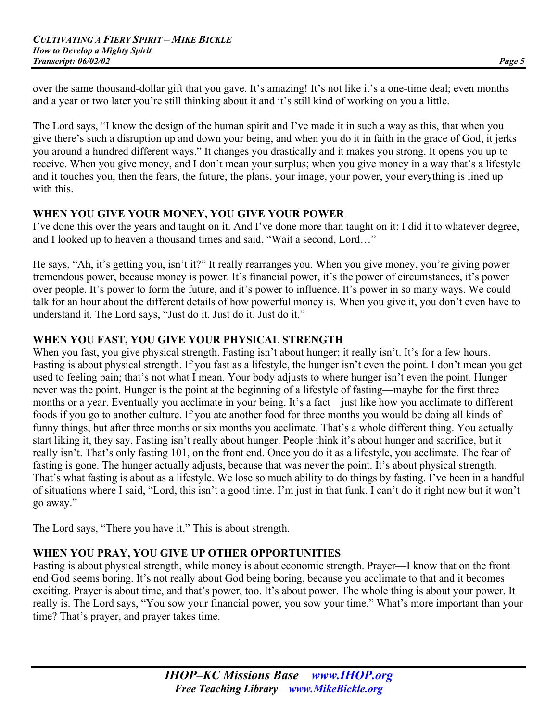over the same thousand-dollar gift that you gave. It's amazing! It's not like it's a one-time deal; even months and a year or two later you're still thinking about it and it's still kind of working on you a little.

The Lord says, "I know the design of the human spirit and I've made it in such a way as this, that when you give there's such a disruption up and down your being, and when you do it in faith in the grace of God, it jerks you around a hundred different ways." It changes you drastically and it makes you strong. It opens you up to receive. When you give money, and I don't mean your surplus; when you give money in a way that's a lifestyle and it touches you, then the fears, the future, the plans, your image, your power, your everything is lined up with this.

## **WHEN YOU GIVE YOUR MONEY, YOU GIVE YOUR POWER**

I've done this over the years and taught on it. And I've done more than taught on it: I did it to whatever degree, and I looked up to heaven a thousand times and said, "Wait a second, Lord…"

He says, "Ah, it's getting you, isn't it?" It really rearranges you. When you give money, you're giving power tremendous power, because money is power. It's financial power, it's the power of circumstances, it's power over people. It's power to form the future, and it's power to influence. It's power in so many ways. We could talk for an hour about the different details of how powerful money is. When you give it, you don't even have to understand it. The Lord says, "Just do it. Just do it. Just do it."

#### **WHEN YOU FAST, YOU GIVE YOUR PHYSICAL STRENGTH**

When you fast, you give physical strength. Fasting isn't about hunger; it really isn't. It's for a few hours. Fasting is about physical strength. If you fast as a lifestyle, the hunger isn't even the point. I don't mean you get used to feeling pain; that's not what I mean. Your body adjusts to where hunger isn't even the point. Hunger never was the point. Hunger is the point at the beginning of a lifestyle of fasting—maybe for the first three months or a year. Eventually you acclimate in your being. It's a fact—just like how you acclimate to different foods if you go to another culture. If you ate another food for three months you would be doing all kinds of funny things, but after three months or six months you acclimate. That's a whole different thing. You actually start liking it, they say. Fasting isn't really about hunger. People think it's about hunger and sacrifice, but it really isn't. That's only fasting 101, on the front end. Once you do it as a lifestyle, you acclimate. The fear of fasting is gone. The hunger actually adjusts, because that was never the point. It's about physical strength. That's what fasting is about as a lifestyle. We lose so much ability to do things by fasting. I've been in a handful of situations where I said, "Lord, this isn't a good time. I'm just in that funk. I can't do it right now but it won't go away."

The Lord says, "There you have it." This is about strength.

## **WHEN YOU PRAY, YOU GIVE UP OTHER OPPORTUNITIES**

Fasting is about physical strength, while money is about economic strength. Prayer—I know that on the front end God seems boring. It's not really about God being boring, because you acclimate to that and it becomes exciting. Prayer is about time, and that's power, too. It's about power. The whole thing is about your power. It really is. The Lord says, "You sow your financial power, you sow your time." What's more important than your time? That's prayer, and prayer takes time.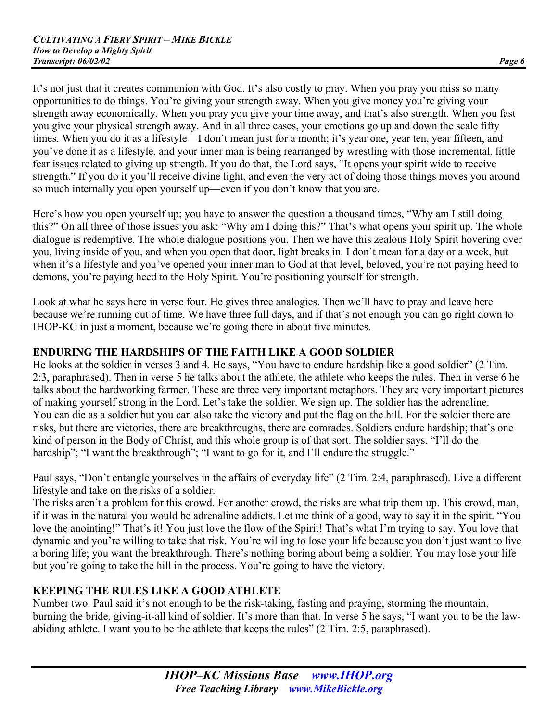It's not just that it creates communion with God. It's also costly to pray. When you pray you miss so many opportunities to do things. You're giving your strength away. When you give money you're giving your strength away economically. When you pray you give your time away, and that's also strength. When you fast you give your physical strength away. And in all three cases, your emotions go up and down the scale fifty times. When you do it as a lifestyle—I don't mean just for a month; it's year one, year ten, year fifteen, and you've done it as a lifestyle, and your inner man is being rearranged by wrestling with those incremental, little fear issues related to giving up strength. If you do that, the Lord says, "It opens your spirit wide to receive strength." If you do it you'll receive divine light, and even the very act of doing those things moves you around so much internally you open yourself up—even if you don't know that you are.

Here's how you open yourself up; you have to answer the question a thousand times, "Why am I still doing this?" On all three of those issues you ask: "Why am I doing this?" That's what opens your spirit up. The whole dialogue is redemptive. The whole dialogue positions you. Then we have this zealous Holy Spirit hovering over you, living inside of you, and when you open that door, light breaks in. I don't mean for a day or a week, but when it's a lifestyle and you've opened your inner man to God at that level, beloved, you're not paying heed to demons, you're paying heed to the Holy Spirit. You're positioning yourself for strength.

Look at what he says here in verse four. He gives three analogies. Then we'll have to pray and leave here because we're running out of time. We have three full days, and if that's not enough you can go right down to IHOP-KC in just a moment, because we're going there in about five minutes.

## **ENDURING THE HARDSHIPS OF THE FAITH LIKE A GOOD SOLDIER**

He looks at the soldier in verses 3 and 4. He says, "You have to endure hardship like a good soldier" (2 Tim. 2:3, paraphrased). Then in verse 5 he talks about the athlete, the athlete who keeps the rules. Then in verse 6 he talks about the hardworking farmer. These are three very important metaphors. They are very important pictures of making yourself strong in the Lord. Let's take the soldier. We sign up. The soldier has the adrenaline. You can die as a soldier but you can also take the victory and put the flag on the hill. For the soldier there are risks, but there are victories, there are breakthroughs, there are comrades. Soldiers endure hardship; that's one kind of person in the Body of Christ, and this whole group is of that sort. The soldier says, "I'll do the hardship"; "I want the breakthrough"; "I want to go for it, and I'll endure the struggle."

Paul says, "Don't entangle yourselves in the affairs of everyday life" (2 Tim. 2:4, paraphrased). Live a different lifestyle and take on the risks of a soldier.

The risks aren't a problem for this crowd. For another crowd, the risks are what trip them up. This crowd, man, if it was in the natural you would be adrenaline addicts. Let me think of a good, way to say it in the spirit. "You love the anointing!" That's it! You just love the flow of the Spirit! That's what I'm trying to say. You love that dynamic and you're willing to take that risk. You're willing to lose your life because you don't just want to live a boring life; you want the breakthrough. There's nothing boring about being a soldier. You may lose your life but you're going to take the hill in the process. You're going to have the victory.

# **KEEPING THE RULES LIKE A GOOD ATHLETE**

Number two. Paul said it's not enough to be the risk-taking, fasting and praying, storming the mountain, burning the bride, giving-it-all kind of soldier. It's more than that. In verse 5 he says, "I want you to be the lawabiding athlete. I want you to be the athlete that keeps the rules" (2 Tim. 2:5, paraphrased).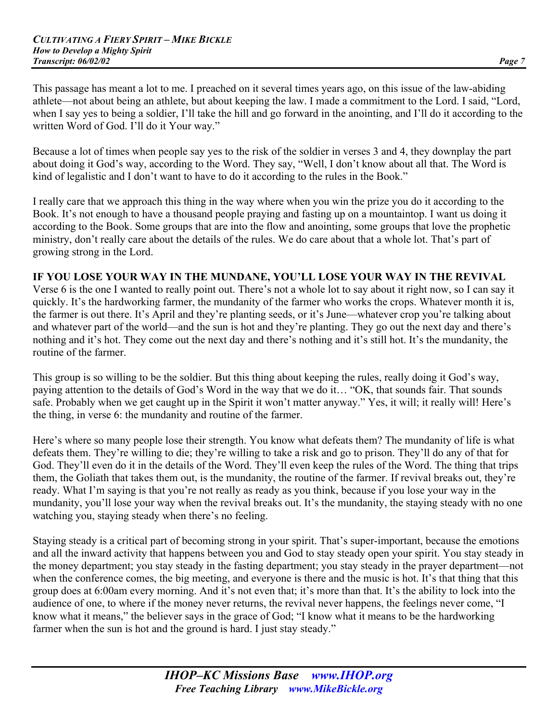This passage has meant a lot to me. I preached on it several times years ago, on this issue of the law-abiding athlete—not about being an athlete, but about keeping the law. I made a commitment to the Lord. I said, "Lord, when I say yes to being a soldier, I'll take the hill and go forward in the anointing, and I'll do it according to the written Word of God. I'll do it Your way."

Because a lot of times when people say yes to the risk of the soldier in verses 3 and 4, they downplay the part about doing it God's way, according to the Word. They say, "Well, I don't know about all that. The Word is kind of legalistic and I don't want to have to do it according to the rules in the Book."

I really care that we approach this thing in the way where when you win the prize you do it according to the Book. It's not enough to have a thousand people praying and fasting up on a mountaintop. I want us doing it according to the Book. Some groups that are into the flow and anointing, some groups that love the prophetic ministry, don't really care about the details of the rules. We do care about that a whole lot. That's part of growing strong in the Lord.

#### **IF YOU LOSE YOUR WAY IN THE MUNDANE, YOU'LL LOSE YOUR WAY IN THE REVIVAL**

Verse 6 is the one I wanted to really point out. There's not a whole lot to say about it right now, so I can say it quickly. It's the hardworking farmer, the mundanity of the farmer who works the crops. Whatever month it is, the farmer is out there. It's April and they're planting seeds, or it's June—whatever crop you're talking about and whatever part of the world—and the sun is hot and they're planting. They go out the next day and there's nothing and it's hot. They come out the next day and there's nothing and it's still hot. It's the mundanity, the routine of the farmer.

This group is so willing to be the soldier. But this thing about keeping the rules, really doing it God's way, paying attention to the details of God's Word in the way that we do it… "OK, that sounds fair. That sounds safe. Probably when we get caught up in the Spirit it won't matter anyway." Yes, it will; it really will! Here's the thing, in verse 6: the mundanity and routine of the farmer.

Here's where so many people lose their strength. You know what defeats them? The mundanity of life is what defeats them. They're willing to die; they're willing to take a risk and go to prison. They'll do any of that for God. They'll even do it in the details of the Word. They'll even keep the rules of the Word. The thing that trips them, the Goliath that takes them out, is the mundanity, the routine of the farmer. If revival breaks out, they're ready. What I'm saying is that you're not really as ready as you think, because if you lose your way in the mundanity, you'll lose your way when the revival breaks out. It's the mundanity, the staying steady with no one watching you, staying steady when there's no feeling.

Staying steady is a critical part of becoming strong in your spirit. That's super-important, because the emotions and all the inward activity that happens between you and God to stay steady open your spirit. You stay steady in the money department; you stay steady in the fasting department; you stay steady in the prayer department—not when the conference comes, the big meeting, and everyone is there and the music is hot. It's that thing that this group does at 6:00am every morning. And it's not even that; it's more than that. It's the ability to lock into the audience of one, to where if the money never returns, the revival never happens, the feelings never come, "I know what it means," the believer says in the grace of God; "I know what it means to be the hardworking farmer when the sun is hot and the ground is hard. I just stay steady."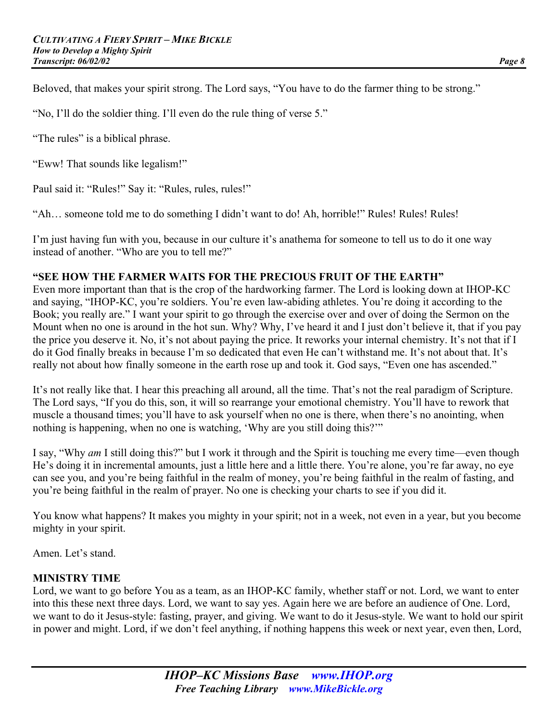Beloved, that makes your spirit strong. The Lord says, "You have to do the farmer thing to be strong."

"No, I'll do the soldier thing. I'll even do the rule thing of verse 5."

"The rules" is a biblical phrase.

"Eww! That sounds like legalism!"

Paul said it: "Rules!" Say it: "Rules, rules, rules!"

"Ah… someone told me to do something I didn't want to do! Ah, horrible!" Rules! Rules! Rules!

I'm just having fun with you, because in our culture it's anathema for someone to tell us to do it one way instead of another. "Who are you to tell me?"

#### **"SEE HOW THE FARMER WAITS FOR THE PRECIOUS FRUIT OF THE EARTH"**

Even more important than that is the crop of the hardworking farmer. The Lord is looking down at IHOP-KC and saying, "IHOP-KC, you're soldiers. You're even law-abiding athletes. You're doing it according to the Book; you really are." I want your spirit to go through the exercise over and over of doing the Sermon on the Mount when no one is around in the hot sun. Why? Why, I've heard it and I just don't believe it, that if you pay the price you deserve it. No, it's not about paying the price. It reworks your internal chemistry. It's not that if I do it God finally breaks in because I'm so dedicated that even He can't withstand me. It's not about that. It's really not about how finally someone in the earth rose up and took it. God says, "Even one has ascended."

It's not really like that. I hear this preaching all around, all the time. That's not the real paradigm of Scripture. The Lord says, "If you do this, son, it will so rearrange your emotional chemistry. You'll have to rework that muscle a thousand times; you'll have to ask yourself when no one is there, when there's no anointing, when nothing is happening, when no one is watching, 'Why are you still doing this?'"

I say, "Why *am* I still doing this?" but I work it through and the Spirit is touching me every time—even though He's doing it in incremental amounts, just a little here and a little there. You're alone, you're far away, no eye can see you, and you're being faithful in the realm of money, you're being faithful in the realm of fasting, and you're being faithful in the realm of prayer. No one is checking your charts to see if you did it.

You know what happens? It makes you mighty in your spirit; not in a week, not even in a year, but you become mighty in your spirit.

Amen. Let's stand.

## **MINISTRY TIME**

Lord, we want to go before You as a team, as an IHOP-KC family, whether staff or not. Lord, we want to enter into this these next three days. Lord, we want to say yes. Again here we are before an audience of One. Lord, we want to do it Jesus-style: fasting, prayer, and giving. We want to do it Jesus-style. We want to hold our spirit in power and might. Lord, if we don't feel anything, if nothing happens this week or next year, even then, Lord,